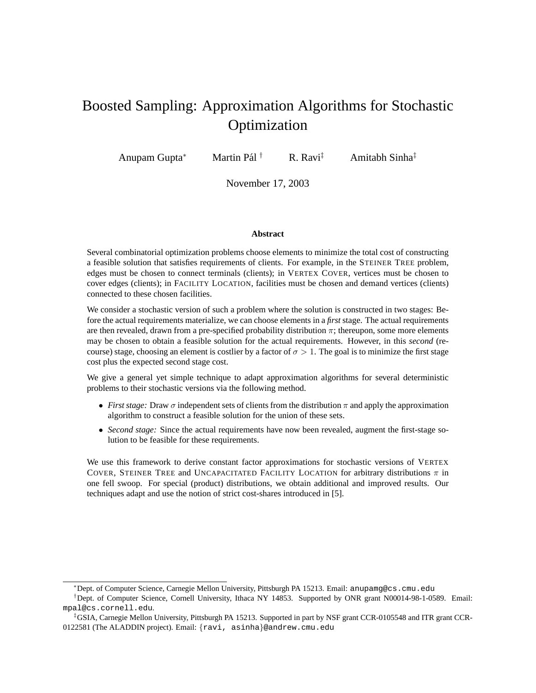# Boosted Sampling: Approximation Algorithms for Stochastic **Optimization**

Anupam Gupta<sup>∗</sup> Martin Pál<sup>†</sup>

 $R$ . Ravi $\ddagger$  Amitabh Sinha $\ddagger$ 

November 17, 2003

#### **Abstract**

Several combinatorial optimization problems choose elements to minimize the total cost of constructing a feasible solution that satisfies requirements of clients. For example, in the STEINER TREE problem, edges must be chosen to connect terminals (clients); in VERTEX COVER, vertices must be chosen to cover edges (clients); in FACILITY LOCATION, facilities must be chosen and demand vertices (clients) connected to these chosen facilities.

We consider a stochastic version of such a problem where the solution is constructed in two stages: Before the actual requirements materialize, we can choose elements in a *first* stage. The actual requirements are then revealed, drawn from a pre-specified probability distribution  $\pi$ ; thereupon, some more elements may be chosen to obtain a feasible solution for the actual requirements. However, in this *second* (recourse) stage, choosing an element is costlier by a factor of  $\sigma > 1$ . The goal is to minimize the first stage cost plus the expected second stage cost.

We give a general yet simple technique to adapt approximation algorithms for several deterministic problems to their stochastic versions via the following method.

- *First stage:* Draw  $\sigma$  independent sets of clients from the distribution  $\pi$  and apply the approximation algorithm to construct a feasible solution for the union of these sets.
- *Second stage:* Since the actual requirements have now been revealed, augment the first-stage solution to be feasible for these requirements.

We use this framework to derive constant factor approximations for stochastic versions of VERTEX COVER, STEINER TREE and UNCAPACITATED FACILITY LOCATION for arbitrary distributions  $\pi$  in one fell swoop. For special (product) distributions, we obtain additional and improved results. Our techniques adapt and use the notion of strict cost-shares introduced in [5].

<sup>∗</sup>Dept. of Computer Science, Carnegie Mellon University, Pittsburgh PA 15213. Email: anupamg@cs.cmu.edu

<sup>†</sup>Dept. of Computer Science, Cornell University, Ithaca NY 14853. Supported by ONR grant N00014-98-1-0589. Email: mpal@cs.cornell.edu.

<sup>‡</sup>GSIA, Carnegie Mellon University, Pittsburgh PA 15213. Supported in part by NSF grant CCR-0105548 and ITR grant CCR-0122581 (The ALADDIN project). Email: {ravi, asinha}@andrew.cmu.edu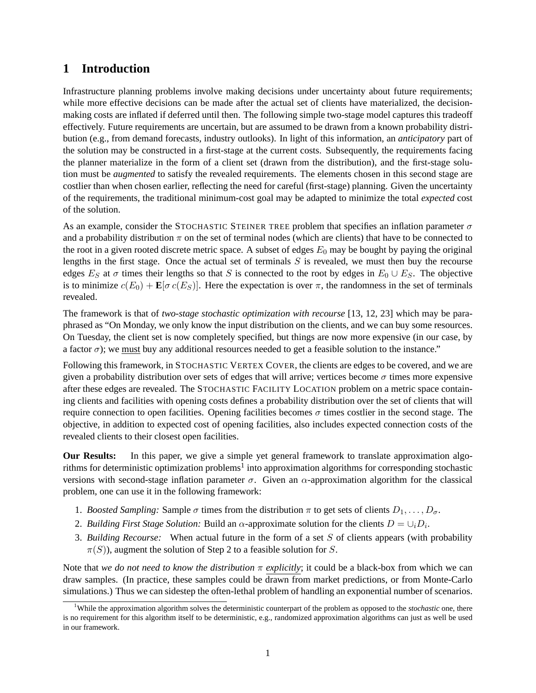# **1 Introduction**

Infrastructure planning problems involve making decisions under uncertainty about future requirements; while more effective decisions can be made after the actual set of clients have materialized, the decisionmaking costs are inflated if deferred until then. The following simple two-stage model captures this tradeoff effectively. Future requirements are uncertain, but are assumed to be drawn from a known probability distribution (e.g., from demand forecasts, industry outlooks). In light of this information, an *anticipatory* part of the solution may be constructed in a first-stage at the current costs. Subsequently, the requirements facing the planner materialize in the form of a client set (drawn from the distribution), and the first-stage solution must be *augmented* to satisfy the revealed requirements. The elements chosen in this second stage are costlier than when chosen earlier, reflecting the need for careful (first-stage) planning. Given the uncertainty of the requirements, the traditional minimum-cost goal may be adapted to minimize the total *expected* cost of the solution.

As an example, consider the STOCHASTIC STEINER TREE problem that specifies an inflation parameter  $\sigma$ and a probability distribution  $\pi$  on the set of terminal nodes (which are clients) that have to be connected to the root in a given rooted discrete metric space. A subset of edges  $E_0$  may be bought by paying the original lengths in the first stage. Once the actual set of terminals  $S$  is revealed, we must then buy the recourse edges  $E_S$  at  $\sigma$  times their lengths so that S is connected to the root by edges in  $E_0 \cup E_S$ . The objective is to minimize  $c(E_0) + \mathbf{E}[\sigma c(E_S)]$ . Here the expectation is over  $\pi$ , the randomness in the set of terminals revealed.

The framework is that of *two-stage stochastic optimization with recourse* [13, 12, 23] which may be paraphrased as "On Monday, we only know the input distribution on the clients, and we can buy some resources. On Tuesday, the client set is now completely specified, but things are now more expensive (in our case, by a factor  $\sigma$ ); we must buy any additional resources needed to get a feasible solution to the instance."

Following this framework, in STOCHASTIC VERTEX COVER, the clients are edges to be covered, and we are given a probability distribution over sets of edges that will arrive; vertices become  $\sigma$  times more expensive after these edges are revealed. The STOCHASTIC FACILITY LOCATION problem on a metric space containing clients and facilities with opening costs defines a probability distribution over the set of clients that will require connection to open facilities. Opening facilities becomes  $\sigma$  times costlier in the second stage. The objective, in addition to expected cost of opening facilities, also includes expected connection costs of the revealed clients to their closest open facilities.

**Our Results:** In this paper, we give a simple yet general framework to translate approximation algorithms for deterministic optimization problems<sup>1</sup> into approximation algorithms for corresponding stochastic versions with second-stage inflation parameter  $\sigma$ . Given an  $\alpha$ -approximation algorithm for the classical problem, one can use it in the following framework:

- 1. *Boosted Sampling:* Sample  $\sigma$  times from the distribution  $\pi$  to get sets of clients  $D_1, \ldots, D_{\sigma}$ .
- 2. *Building First Stage Solution:* Build an  $\alpha$ -approximate solution for the clients  $D = \bigcup_i D_i$ .
- 3. *Building Recourse:* When actual future in the form of a set S of clients appears (with probability  $\pi(S)$ ), augment the solution of Step 2 to a feasible solution for S.

Note that *we do not need to know the distribution* π *explicitly*; it could be a black-box from which we can draw samples. (In practice, these samples could be drawn from market predictions, or from Monte-Carlo simulations.) Thus we can sidestep the often-lethal problem of handling an exponential number of scenarios.

<sup>1</sup>While the approximation algorithm solves the deterministic counterpart of the problem as opposed to the *stochastic* one, there is no requirement for this algorithm itself to be deterministic, e.g., randomized approximation algorithms can just as well be used in our framework.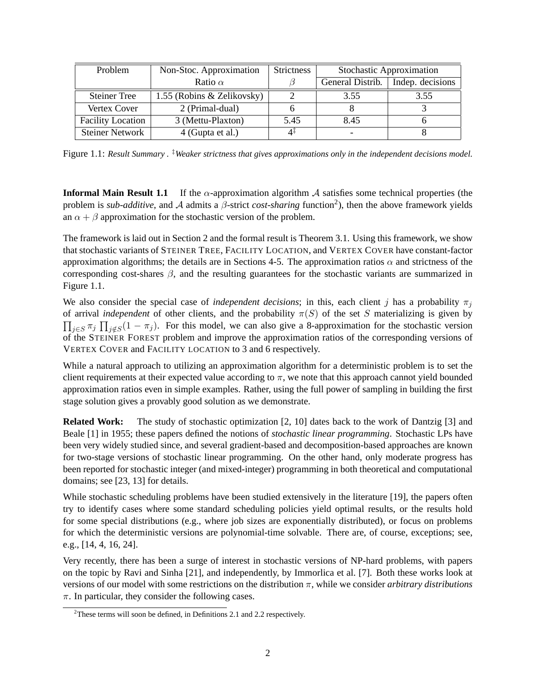| Problem                  | Non-Stoc. Approximation    | <b>Strictness</b> | Stochastic Approximation |                  |
|--------------------------|----------------------------|-------------------|--------------------------|------------------|
|                          | Ratio $\alpha$             |                   | General Distrib.         | Indep. decisions |
| <b>Steiner Tree</b>      | 1.55 (Robins & Zelikovsky) |                   | 3.55                     | 3.55             |
| Vertex Cover             | 2 (Primal-dual)            |                   |                          |                  |
| <b>Facility Location</b> | 3 (Mettu-Plaxton)          | 5.45              | 8.45                     |                  |
| <b>Steiner Network</b>   | 4 (Gupta et al.)           | 4Ŧ                |                          |                  |

Figure 1.1: *Result Summary*. <sup>‡</sup>*Weaker strictness that gives approximations only in the independent decisions model.* 

**Informal Main Result 1.1** If the  $\alpha$ -approximation algorithm  $\mathcal A$  satisfies some technical properties (the problem is *sub-additive*, and *A* admits a *β*-strict *cost-sharing* function<sup>2</sup>), then the above framework yields an  $\alpha + \beta$  approximation for the stochastic version of the problem.

The framework is laid out in Section 2 and the formal result is Theorem 3.1. Using this framework, we show that stochastic variants of STEINER TREE, FACILITY LOCATION, and VERTEX COVER have constant-factor approximation algorithms; the details are in Sections 4-5. The approximation ratios  $\alpha$  and strictness of the corresponding cost-shares  $\beta$ , and the resulting guarantees for the stochastic variants are summarized in Figure 1.1.

We also consider the special case of *independent decisions*; in this, each client j has a probability  $\pi_i$ of arrival *independent* of other clients, and the probability  $\pi(S)$  of the set S materializing is given by  $\prod_{j\in S}\pi_j \prod_{j\notin S}(1-\pi_j)$ . For this model, we can also give a 8-approximation for the stochastic version of the STEINER FOREST problem and improve the approximation ratios of the corresponding versions of VERTEX COVER and FACILITY LOCATION to 3 and 6 respectively.

While a natural approach to utilizing an approximation algorithm for a deterministic problem is to set the client requirements at their expected value according to  $\pi$ , we note that this approach cannot yield bounded approximation ratios even in simple examples. Rather, using the full power of sampling in building the first stage solution gives a provably good solution as we demonstrate.

**Related Work:** The study of stochastic optimization [2, 10] dates back to the work of Dantzig [3] and Beale [1] in 1955; these papers defined the notions of *stochastic linear programming*. Stochastic LPs have been very widely studied since, and several gradient-based and decomposition-based approaches are known for two-stage versions of stochastic linear programming. On the other hand, only moderate progress has been reported for stochastic integer (and mixed-integer) programming in both theoretical and computational domains; see [23, 13] for details.

While stochastic scheduling problems have been studied extensively in the literature [19], the papers often try to identify cases where some standard scheduling policies yield optimal results, or the results hold for some special distributions (e.g., where job sizes are exponentially distributed), or focus on problems for which the deterministic versions are polynomial-time solvable. There are, of course, exceptions; see, e.g., [14, 4, 16, 24].

Very recently, there has been a surge of interest in stochastic versions of NP-hard problems, with papers on the topic by Ravi and Sinha [21], and independently, by Immorlica et al. [7]. Both these works look at versions of our model with some restrictions on the distribution π, while we consider *arbitrary distributions*  $\pi$ . In particular, they consider the following cases.

<sup>&</sup>lt;sup>2</sup>These terms will soon be defined, in Definitions 2.1 and 2.2 respectively.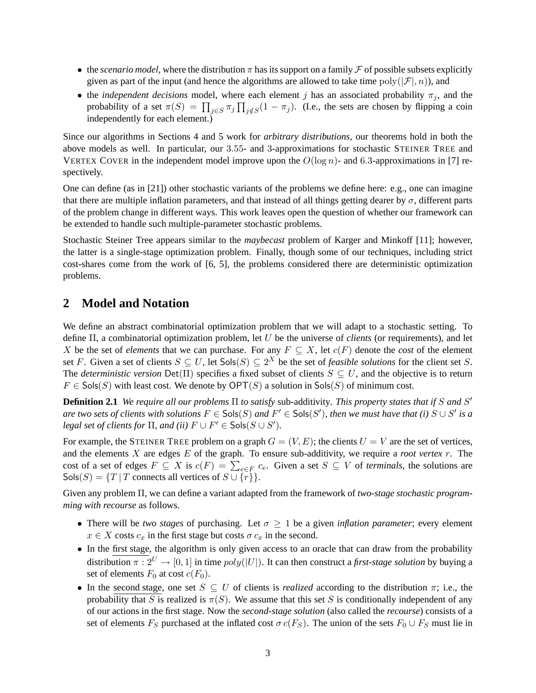- the *scenario model*, where the distribution  $\pi$  has its support on a family  $\mathcal F$  of possible subsets explicitly given as part of the input (and hence the algorithms are allowed to take time  $poly(|\mathcal{F}|, n)$ ), and
- the *independent decisions* model, where each element j has an associated probability  $\pi_i$ , and the probability of a set  $\pi(S) = \prod_{j \in S} \pi_j \prod_{j \notin S} (1 - \pi_j)$ . (I.e., the sets are chosen by flipping a coin independently for each element.)

Since our algorithms in Sections 4 and 5 work for *arbitrary distributions*, our theorems hold in both the above models as well. In particular, our 3.55- and 3-approximations for stochastic STEINER TREE and VERTEX COVER in the independent model improve upon the  $O(\log n)$ - and 6.3-approximations in [7] respectively.

One can define (as in [21]) other stochastic variants of the problems we define here: e.g., one can imagine that there are multiple inflation parameters, and that instead of all things getting dearer by  $\sigma$ , different parts of the problem change in different ways. This work leaves open the question of whether our framework can be extended to handle such multiple-parameter stochastic problems.

Stochastic Steiner Tree appears similar to the *maybecast* problem of Karger and Minkoff [11]; however, the latter is a single-stage optimization problem. Finally, though some of our techniques, including strict cost-shares come from the work of [6, 5], the problems considered there are deterministic optimization problems.

# **2 Model and Notation**

We define an abstract combinatorial optimization problem that we will adapt to a stochastic setting. To define Π, a combinatorial optimization problem, let U be the universe of *clients* (or requirements), and let X be the set of *elements* that we can purchase. For any  $F \subseteq X$ , let  $c(F)$  denote the *cost* of the element set F. Given a set of clients  $S \subseteq U$ , let  $Sols(S) \subseteq 2^X$  be the set of *feasible solutions* for the client set S. The *deterministic version* Det( $\Pi$ ) specifies a fixed subset of clients  $S \subseteq U$ , and the objective is to return  $F \in \mathsf{Sols}(S)$  with least cost. We denote by  $\mathsf{OPT}(S)$  a solution in  $\mathsf{Sols}(S)$  of minimum cost.

**Definition 2.1** *We require all our problems* Π *to satisfy* sub-additivity*. This property states that if* S *and* S 0 *are two sets of clients with solutions*  $F$  ∈ Sols(S) and  $F'$  ∈ Sols(S'), then we must have that (i) S ∪ S' is a *legal set of clients for*  $\Pi$ *, and (ii)*  $F \cup F' \in \mathsf{Sols}(S \cup S')$ *.* 

For example, the STEINER TREE problem on a graph  $G = (V, E)$ ; the clients  $U = V$  are the set of vertices, and the elements X are edges E of the graph. To ensure sub-additivity, we require a *root vertex* r. The cost of a set of edges  $F \subseteq X$  is  $c(F) = \sum_{e \in F} c_e$ . Given a set  $S \subseteq V$  of *terminals*, the solutions are  $Sols(S) = {T | T$  connects all vertices of  $S \cup \{r\}$ .

Given any problem Π, we can define a variant adapted from the framework of *two-stage stochastic programming with recourse* as follows.

- There will be *two stages* of purchasing. Let  $\sigma \geq 1$  be a given *inflation parameter*; every element  $x \in X$  costs  $c_x$  in the first stage but costs  $\sigma c_x$  in the second.
- In the first stage, the algorithm is only given access to an oracle that can draw from the probability distribution  $\pi : 2^U \to [0, 1]$  in time  $poly(|U|)$ . It can then construct a *first-stage solution* by buying a set of elements  $F_0$  at cost  $c(F_0)$ .
- In the second stage, one set  $S \subseteq U$  of clients is *realized* according to the distribution  $\pi$ ; i.e., the probability that S is realized is  $\pi(S)$ . We assume that this set S is conditionally independent of any of our actions in the first stage. Now the *second-stage solution* (also called the *recourse*) consists of a set of elements  $F_S$  purchased at the inflated cost  $\sigma c(F_S)$ . The union of the sets  $F_0 \cup F_S$  must lie in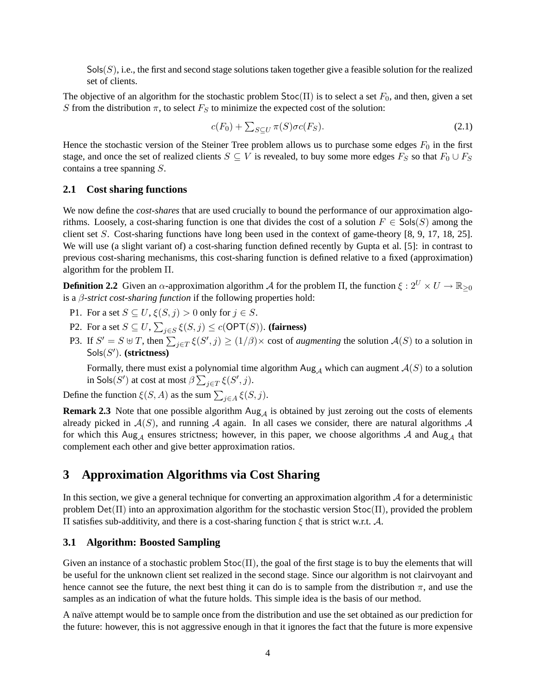$Sols(S)$ , i.e., the first and second stage solutions taken together give a feasible solution for the realized set of clients.

The objective of an algorithm for the stochastic problem  $Stoc(\Pi)$  is to select a set  $F_0$ , and then, given a set S from the distribution  $\pi$ , to select  $F_S$  to minimize the expected cost of the solution:

$$
c(F_0) + \sum_{S \subseteq U} \pi(S)\sigma c(F_S). \tag{2.1}
$$

Hence the stochastic version of the Steiner Tree problem allows us to purchase some edges  $F_0$  in the first stage, and once the set of realized clients  $S \subseteq V$  is revealed, to buy some more edges  $F_S$  so that  $F_0 \cup F_S$ contains a tree spanning S.

### **2.1 Cost sharing functions**

We now define the *cost-shares* that are used crucially to bound the performance of our approximation algorithms. Loosely, a cost-sharing function is one that divides the cost of a solution  $F \in \mathsf{Sols}(S)$  among the client set S. Cost-sharing functions have long been used in the context of game-theory  $[8, 9, 17, 18, 25]$ . We will use (a slight variant of) a cost-sharing function defined recently by Gupta et al. [5]: in contrast to previous cost-sharing mechanisms, this cost-sharing function is defined relative to a fixed (approximation) algorithm for the problem Π.

**Definition 2.2** Given an  $\alpha$ -approximation algorithm A for the problem  $\Pi$ , the function  $\xi : 2^U \times U \to \mathbb{R}_{\geq 0}$ is a β*-strict cost-sharing function* if the following properties hold:

- P1. For a set  $S \subseteq U$ ,  $\xi(S, j) > 0$  only for  $j \in S$ .
- P2. For a set  $S \subseteq U$ ,  $\sum_{j \in S} \xi(S, j) \le c(\mathsf{OPT}(S))$ . (**fairness**)
- P3. If  $S' = S \oplus T$ , then  $\sum_{j \in T} \xi(S', j) \ge (1/\beta) \times \text{cost of *augmenting* the solution  $\mathcal{A}(S)$  to a solution in$ Sols(S 0 ). **(strictness)**

Formally, there must exist a polynomial time algorithm  $\text{Aug}_{\mathcal{A}}$  which can augment  $\mathcal{A}(S)$  to a solution in Sols $(S')$  at cost at most  $\beta \sum_{j \in T} \xi(S', j)$ .

Define the function  $\xi(S, A)$  as the sum  $\sum_{j \in A} \xi(S, j)$ .

**Remark 2.3** Note that one possible algorithm  $\text{Aug}_{\mathcal{A}}$  is obtained by just zeroing out the costs of elements already picked in  $A(S)$ , and running A again. In all cases we consider, there are natural algorithms A for which this Aug<sub>A</sub> ensures strictness; however, in this paper, we choose algorithms A and Aug<sub>A</sub> that complement each other and give better approximation ratios.

# **3 Approximation Algorithms via Cost Sharing**

In this section, we give a general technique for converting an approximation algorithm  $A$  for a deterministic problem  $Det(\Pi)$  into an approximation algorithm for the stochastic version  $Stoc(\Pi)$ , provided the problem Π satisfies sub-additivity, and there is a cost-sharing function ξ that is strict w.r.t. A.

### **3.1 Algorithm: Boosted Sampling**

Given an instance of a stochastic problem  $Stoc(\Pi)$ , the goal of the first stage is to buy the elements that will be useful for the unknown client set realized in the second stage. Since our algorithm is not clairvoyant and hence cannot see the future, the next best thing it can do is to sample from the distribution  $\pi$ , and use the samples as an indication of what the future holds. This simple idea is the basis of our method.

A naïve attempt would be to sample once from the distribution and use the set obtained as our prediction for the future: however, this is not aggressive enough in that it ignores the fact that the future is more expensive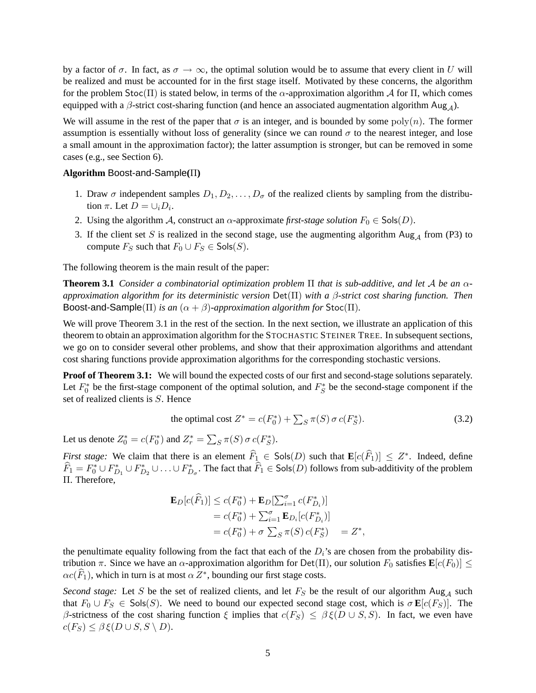by a factor of  $\sigma$ . In fact, as  $\sigma \to \infty$ , the optimal solution would be to assume that every client in U will be realized and must be accounted for in the first stage itself. Motivated by these concerns, the algorithm for the problem  $Stoc(\Pi)$  is stated below, in terms of the  $\alpha$ -approximation algorithm  $\mathcal A$  for  $\Pi$ , which comes equipped with a  $\beta$ -strict cost-sharing function (and hence an associated augmentation algorithm Aug<sub>A</sub>).

We will assume in the rest of the paper that  $\sigma$  is an integer, and is bounded by some poly(n). The former assumption is essentially without loss of generality (since we can round  $\sigma$  to the nearest integer, and lose a small amount in the approximation factor); the latter assumption is stronger, but can be removed in some cases (e.g., see Section 6).

### **Algorithm** Boost-and-Sample**(**Π**)**

- 1. Draw  $\sigma$  independent samples  $D_1, D_2, \ldots, D_{\sigma}$  of the realized clients by sampling from the distribution  $\pi$ . Let  $D = \cup_i D_i$ .
- 2. Using the algorithm A, construct an  $\alpha$ -approximate *first-stage solution*  $F_0 \in \text{Sols}(D)$ .
- 3. If the client set S is realized in the second stage, use the augmenting algorithm  $\text{Aug}_{\mathcal{A}}$  from (P3) to compute  $F_S$  such that  $F_0 \cup F_S \in \mathsf{Sols}(S)$ .

The following theorem is the main result of the paper:

**Theorem 3.1** *Consider a combinatorial optimization problem* Π *that is sub-additive, and let* A *be an* α*approximation algorithm for its deterministic version* Det(Π) *with a* β*-strict cost sharing function. Then* Boost-and-Sample( $\Pi$ ) *is an* ( $\alpha + \beta$ )-*approximation algorithm for* Stoc( $\Pi$ ).

We will prove Theorem 3.1 in the rest of the section. In the next section, we illustrate an application of this theorem to obtain an approximation algorithm for the STOCHASTIC STEINER TREE. In subsequent sections, we go on to consider several other problems, and show that their approximation algorithms and attendant cost sharing functions provide approximation algorithms for the corresponding stochastic versions.

**Proof of Theorem 3.1:** We will bound the expected costs of our first and second-stage solutions separately. Let  $F_0^*$  be the first-stage component of the optimal solution, and  $F_S^*$  be the second-stage component if the set of realized clients is S. Hence

the optimal cost 
$$
Z^* = c(F_0^*) + \sum_S \pi(S) \sigma c(F_S^*).
$$
 (3.2)

Let us denote  $Z_0^* = c(F_0^*)$  and  $Z_r^* = \sum_S \pi(S) \sigma c(F_S^*)$ .

*First stage:* We claim that there is an element  $\widehat{F}_1 \in \mathsf{Sols}(D)$  such that  $\mathbf{E}[c(\widehat{F}_1)] \leq Z^*$ . Indeed, define  $\widehat{F}_1 = F_0^* \cup F_{D_1}^* \cup F_{D_2}^* \cup \ldots \cup F_{D_\sigma}^*$ . The fact that  $\widehat{F}_1 \in \mathsf{Sols}(D)$  follows from sub-additivity of the problem Π. Therefore,

$$
\mathbf{E}_{D}[c(\widehat{F}_{1})] \le c(F_{0}^{*}) + \mathbf{E}_{D}[\sum_{i=1}^{\sigma} c(F_{D_{i}}^{*})]
$$
  
=  $c(F_{0}^{*}) + \sum_{i=1}^{\sigma} \mathbf{E}_{D_{i}}[c(F_{D_{i}}^{*})]$   
=  $c(F_{0}^{*}) + \sigma \sum_{S} \pi(S) c(F_{S}^{*}) = Z^{*},$ 

the penultimate equality following from the fact that each of the  $D_i$ 's are chosen from the probability distribution π. Since we have an α-approximation algorithm for Det(Π), our solution  $F_0$  satisfies  $\mathbf{E}[c(F_0)] \leq$  $\alpha c(\widehat{F}_1)$ , which in turn is at most  $\alpha Z^*$ , bounding our first stage costs.

*Second stage:* Let S be the set of realized clients, and let  $F_S$  be the result of our algorithm  $\text{Aug}_{\mathcal{A}}$  such that  $F_0 \cup F_S \in \mathsf{Sols}(S)$ . We need to bound our expected second stage cost, which is  $\sigma \mathbf{E}[c(F_S)]$ . The β-strictness of the cost sharing function  $\xi$  implies that  $c(F_S) \leq \beta \xi(D \cup S, S)$ . In fact, we even have  $c(F_S) \leq \beta \xi(D \cup S, S \setminus D).$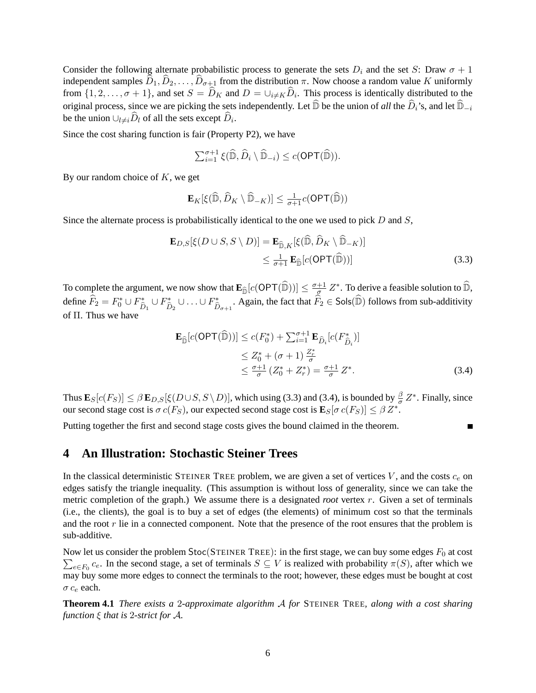Consider the following alternate probabilistic process to generate the sets  $D_i$  and the set S: Draw  $\sigma + 1$ independent samples  $D_1, D_2, \ldots, D_{\sigma+1}$  from the distribution  $\pi$ . Now choose a random value K uniformly from  $\{1, 2, \ldots, \sigma + 1\}$ , and set  $S = D_K$  and  $D = \bigcup_{i \neq K} D_i$ . This process is identically distributed to the original process, since we are picking the sets independently. Let  $\widehat{\mathbb{D}}$  be the union of *all* the  $\widehat{D}_i$ 's, and let  $\widehat{\mathbb{D}}_{-i}$ be the union  $\cup_{l\neq i}D_l$  of all the sets except  $D_i$ .

Since the cost sharing function is fair (Property P2), we have

$$
\sum_{i=1}^{\sigma+1} \xi(\widehat{\mathbb{D}}, \widehat{D}_i \setminus \widehat{\mathbb{D}}_{-i}) \leq c(\mathsf{OPT}(\widehat{\mathbb{D}})).
$$

By our random choice of  $K$ , we get

$$
\mathbf{E}_K[\xi(\widehat{\mathbb{D}}, \widehat{D}_K \setminus \widehat{\mathbb{D}}_{-K})] \leq \frac{1}{\sigma+1}c(\mathsf{OPT}(\widehat{\mathbb{D}}))
$$

Since the alternate process is probabilistically identical to the one we used to pick  $D$  and  $S$ ,

$$
\mathbf{E}_{D,S}[\xi(D\cup S, S\setminus D)] = \mathbf{E}_{\widehat{\mathbb{D}},K}[\xi(\widehat{\mathbb{D}}, \widehat{D}_K\setminus \widehat{\mathbb{D}}_{-K})]
$$
  
\$\leq \frac{1}{\sigma+1} \mathbf{E}\_{\widehat{\mathbb{D}}}[c(OPT(\widehat{\mathbb{D}}))] \qquad (3.3)\$

To complete the argument, we now show that  $\mathbf{E}_{\widehat{\mathbb{D}}}[c(\mathsf{OPT}(\widehat{\mathbb{D}}))] \leq \frac{\sigma+1}{\frac{\sigma}{2}}$  $\frac{+1}{2}$   $Z^*$ . To derive a feasible solution to  $\widehat{\mathbb{D}},$ define  $\widehat{F}_2 = F_0^* \cup F_{\widehat{L}}^*$  $\hat{\tilde{D}}_1 \cup F_{\hat{L}}^*$  $\hat{\tilde{D}}_2 \cup \ldots \cup F_{\hat{L}}^*$  $\hat{\tilde{D}}_{\sigma+1}$ . Again, the fact that  $\widehat{F}_2 \in \mathsf{Sols}(\widehat{\mathbb{D}})$  follows from sub-additivity of Π. Thus we have

$$
\mathbf{E}_{\widehat{\mathbb{D}}}[c(\mathsf{OPT}(\widehat{\mathbb{D}}))] \le c(F_0^*) + \sum_{i=1}^{\sigma+1} \mathbf{E}_{\widehat{D}_i}[c(F_{\widehat{D}_i}^*)]
$$
  
\n
$$
\le Z_0^* + (\sigma + 1) \frac{Z_r^*}{\sigma}
$$
  
\n
$$
\le \frac{\sigma+1}{\sigma} (Z_0^* + Z_r^*) = \frac{\sigma+1}{\sigma} Z^*.
$$
\n(3.4)

Thus  $\mathbf{E}_{S}[c(F_S)] \leq \beta \mathbf{E}_{D,S}[\xi(D \cup S, S \setminus D)]$ , which using (3.3) and (3.4), is bounded by  $\frac{\beta}{\sigma} Z^*$ . Finally, since our second stage cost is  $\sigma c(F_S)$ , our expected second stage cost is  $\mathbf{E}_S[\sigma c(F_S)] \leq \beta Z^*$ .

Putting together the first and second stage costs gives the bound claimed in the theorem.

## **4 An Illustration: Stochastic Steiner Trees**

In the classical deterministic STEINER TREE problem, we are given a set of vertices  $V$ , and the costs  $c_e$  on edges satisfy the triangle inequality. (This assumption is without loss of generality, since we can take the metric completion of the graph.) We assume there is a designated *root* vertex r. Given a set of terminals (i.e., the clients), the goal is to buy a set of edges (the elements) of minimum cost so that the terminals and the root  $r$  lie in a connected component. Note that the presence of the root ensures that the problem is sub-additive.

Now let us consider the problem  $\mathsf{Stoc}(\mathsf{STEINER}\ \mathsf{FREE})$ : in the first stage, we can buy some edges  $F_0$  at cost  $\sum_{e \in F_0} c_e$ . In the second stage, a set of terminals  $S \subseteq V$  is realized with probability  $\pi(S)$ , after which we may buy some more edges to connect the terminals to the root; however, these edges must be bought at cost  $\sigma c_e$  each.

**Theorem 4.1** *There exists a* 2*-approximate algorithm* A *for* STEINER TREE*, along with a cost sharing function* ξ *that is* 2*-strict for* A*.*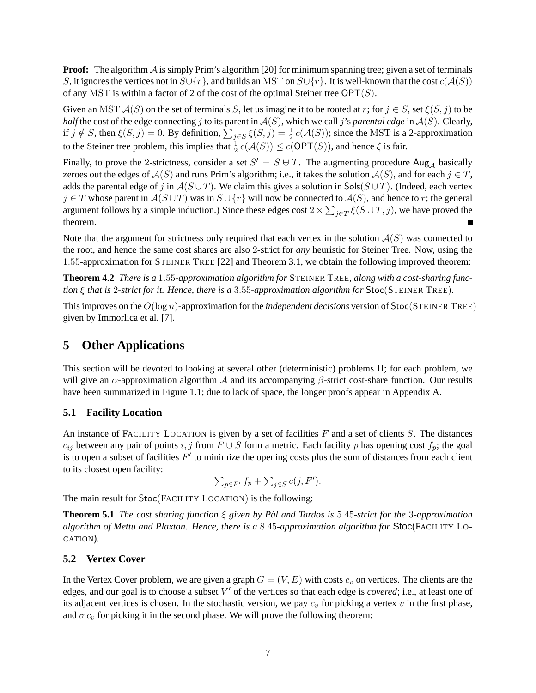**Proof:** The algorithm A is simply Prim's algorithm [20] for minimum spanning tree; given a set of terminals S, it ignores the vertices not in  $S \cup \{r\}$ , and builds an MST on  $S \cup \{r\}$ . It is well-known that the cost  $c(\mathcal{A}(S))$ of any MST is within a factor of 2 of the cost of the optimal Steiner tree  $\mathsf{OPT}(S)$ .

Given an MST  $\mathcal{A}(S)$  on the set of terminals S, let us imagine it to be rooted at r; for  $j \in S$ , set  $\xi(S, j)$  to be *half* the cost of the edge connecting j to its parent in  $A(S)$ , which we call j's *parental edge* in  $A(S)$ . Clearly, if  $j \notin S$ , then  $\xi(S, j) = 0$ . By definition,  $\sum_{j \in S} \xi(S, j) = \frac{1}{2} c(\mathcal{A}(S))$ ; since the MST is a 2-approximation to the Steiner tree problem, this implies that  $\frac{1}{2} c(A(S)) \leq c(OPT(S))$ , and hence  $\xi$  is fair.

Finally, to prove the 2-strictness, consider a set  $S' = S \oplus T$ . The augmenting procedure Aug<sub>A</sub> basically zeroes out the edges of  $A(S)$  and runs Prim's algorithm; i.e., it takes the solution  $A(S)$ , and for each  $j \in T$ , adds the parental edge of j in  $A(S \cup T)$ . We claim this gives a solution in Sols( $S \cup T$ ). (Indeed, each vertex  $j \in T$  whose parent in  $A(S \cup T)$  was in  $S \cup \{r\}$  will now be connected to  $A(S)$ , and hence to r; the general argument follows by a simple induction.) Since these edges cost  $2 \times \sum_{j \in T} \xi(S \cup T, j)$ , we have proved the theorem.  $\blacksquare$ 

Note that the argument for strictness only required that each vertex in the solution  $A(S)$  was connected to the root, and hence the same cost shares are also 2-strict for *any* heuristic for Steiner Tree. Now, using the 1.55-approximation for STEINER TREE [22] and Theorem 3.1, we obtain the following improved theorem:

**Theorem 4.2** *There is a* 1.55*-approximation algorithm for* STEINER TREE*, along with a cost-sharing function* ξ *that is* 2*-strict for it. Hence, there is a* 3.55*-approximation algorithm for* Stoc(STEINER TREE)*.*

This improves on the O(log n)-approximation for the *independent decisions* version of Stoc(STEINER TREE) given by Immorlica et al. [7].

# **5 Other Applications**

This section will be devoted to looking at several other (deterministic) problems Π; for each problem, we will give an  $\alpha$ -approximation algorithm A and its accompanying  $\beta$ -strict cost-share function. Our results have been summarized in Figure 1.1; due to lack of space, the longer proofs appear in Appendix A.

### **5.1 Facility Location**

An instance of FACILITY LOCATION is given by a set of facilities  $F$  and a set of clients  $S$ . The distances  $c_{ij}$  between any pair of points i, j from F ∪ S form a metric. Each facility p has opening cost  $f_p$ ; the goal is to open a subset of facilities  $F'$  to minimize the opening costs plus the sum of distances from each client to its closest open facility:

$$
\sum_{p \in F'} f_p + \sum_{j \in S} c(j, F').
$$

The main result for Stoc(FACILITY LOCATION) is the following:

**Theorem 5.1** *The cost sharing function* ξ *given by Pal and Tardos is ´* 5.45*-strict for the* 3*-approximation algorithm of Mettu and Plaxton. Hence, there is a* 8.45*-approximation algorithm for* Stoc(FACILITY LO-CATION)*.*

### **5.2 Vertex Cover**

In the Vertex Cover problem, we are given a graph  $G = (V, E)$  with costs  $c_v$  on vertices. The clients are the edges, and our goal is to choose a subset V' of the vertices so that each edge is *covered*; i.e., at least one of its adjacent vertices is chosen. In the stochastic version, we pay  $c_v$  for picking a vertex v in the first phase, and  $\sigma c_v$  for picking it in the second phase. We will prove the following theorem: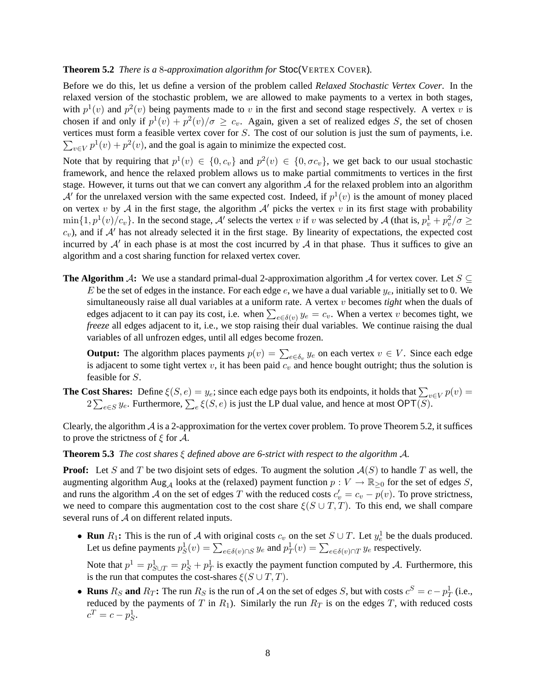### **Theorem 5.2** *There is a* 8*-approximation algorithm for* Stoc(VERTEX COVER)*.*

Before we do this, let us define a version of the problem called *Relaxed Stochastic Vertex Cover*. In the relaxed version of the stochastic problem, we are allowed to make payments to a vertex in both stages, with  $p^1(v)$  and  $p^2(v)$  being payments made to v in the first and second stage respectively. A vertex v is chosen if and only if  $p^1(v) + p^2(v)/\sigma \geq c_v$ . Again, given a set of realized edges S, the set of chosen vertices must form a feasible vertex cover for S. The cost of our solution is just the sum of payments, i.e.  $\sum_{v \in V} p^1(v) + p^2(v)$ , and the goal is again to minimize the expected cost.

Note that by requiring that  $p^1(v) \in \{0, c_v\}$  and  $p^2(v) \in \{0, \sigma c_v\}$ , we get back to our usual stochastic framework, and hence the relaxed problem allows us to make partial commitments to vertices in the first stage. However, it turns out that we can convert any algorithm  $A$  for the relaxed problem into an algorithm A' for the unrelaxed version with the same expected cost. Indeed, if  $p^1(v)$  is the amount of money placed on vertex v by A in the first stage, the algorithm  $A'$  picks the vertex v in its first stage with probability  $\min\{1,p^1(v)/c_v\}$ . In the second stage, A' selects the vertex v if v was selected by A (that is,  $p_v^1 + p_v^2/\sigma \ge$  $c_v$ ), and if  $A'$  has not already selected it in the first stage. By linearity of expectations, the expected cost incurred by  $A'$  in each phase is at most the cost incurred by  $A$  in that phase. Thus it suffices to give an algorithm and a cost sharing function for relaxed vertex cover.

**The Algorithm** A: We use a standard primal-dual 2-approximation algorithm A for vertex cover. Let  $S \subseteq$ E be the set of edges in the instance. For each edge e, we have a dual variable  $y_e$ , initially set to 0. We simultaneously raise all dual variables at a uniform rate. A vertex v becomes *tight* when the duals of edges adjacent to it can pay its cost, i.e. when  $\sum_{e \in \delta(v)} y_e = c_v$ . When a vertex v becomes tight, we *freeze* all edges adjacent to it, i.e., we stop raising their dual variables. We continue raising the dual variables of all unfrozen edges, until all edges become frozen.

**Output:** The algorithm places payments  $p(v) = \sum_{e \in \delta_v} y_e$  on each vertex  $v \in V$ . Since each edge is adjacent to some tight vertex  $v$ , it has been paid  $c_v$  and hence bought outright; thus the solution is feasible for S.

**The Cost Shares:** Define  $\xi(S, e) = y_e$ ; since each edge pays both its endpoints, it holds that  $\sum_{v \in V} p(v) =$  $2\sum_{e\in S}y_e$ . Furthermore,  $\sum_{e}\xi(S,e)$  is just the LP dual value, and hence at most OPT(S).

Clearly, the algorithm  $A$  is a 2-approximation for the vertex cover problem. To prove Theorem 5.2, it suffices to prove the strictness of  $\xi$  for  $\mathcal{A}$ .

### **Theorem 5.3** *The cost shares* ξ *defined above are 6-strict with respect to the algorithm* A*.*

**Proof:** Let S and T be two disjoint sets of edges. To augment the solution  $A(S)$  to handle T as well, the augmenting algorithm Aug<sub>A</sub> looks at the (relaxed) payment function  $p: V \to \mathbb{R}_{\geq 0}$  for the set of edges S, and runs the algorithm A on the set of edges T with the reduced costs  $c'_v = c_v - p(v)$ . To prove strictness, we need to compare this augmentation cost to the cost share  $\xi(S \cup T, T)$ . To this end, we shall compare several runs of  $A$  on different related inputs.

• **Run**  $R_1$ : This is the run of A with original costs  $c_v$  on the set  $S \cup T$ . Let  $y_e^1$  be the duals produced. Let us define payments  $p_S^1(v) = \sum_{e \in \delta(v) \cap S} y_e$  and  $p_T^1(v) = \sum_{e \in \delta(v) \cap T} y_e$  respectively.

Note that  $p^1 = p_{S \cup T}^1 = p_S^1 + p_T^1$  is exactly the payment function computed by A. Furthermore, this is the run that computes the cost-shares  $\xi(S \cup T, T)$ .

• **Runs**  $R_S$  and  $R_T$ : The run  $R_S$  is the run of A on the set of edges S, but with costs  $c^S = c - p_T^1$  (i.e., reduced by the payments of T in  $R_1$ ). Similarly the run  $R_T$  is on the edges T, with reduced costs  $c^T = c - p_S^1$ .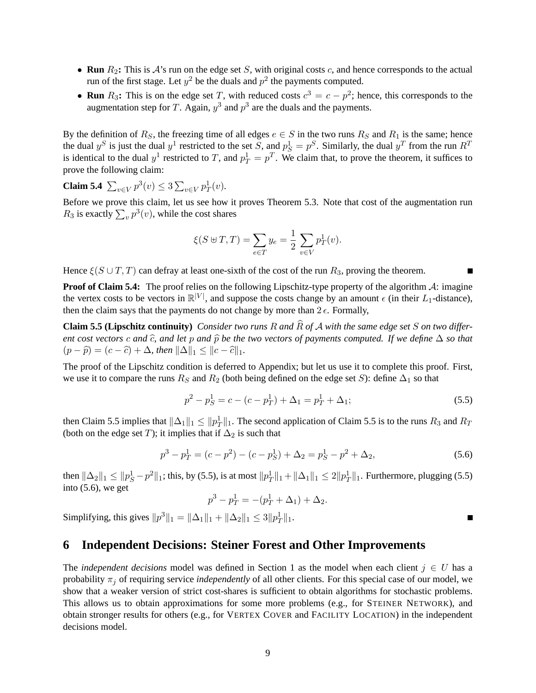- **Run**  $R_2$ : This is  $\mathcal{A}$ 's run on the edge set  $S$ , with original costs  $c$ , and hence corresponds to the actual run of the first stage. Let  $y^2$  be the duals and  $p^2$  the payments computed.
- **Run**  $R_3$ : This is on the edge set T, with reduced costs  $c^3 = c p^2$ ; hence, this corresponds to the augmentation step for T. Again,  $y^3$  and  $p^3$  are the duals and the payments.

By the definition of  $R_S$ , the freezing time of all edges  $e \in S$  in the two runs  $R_S$  and  $R_1$  is the same; hence the dual  $y^S$  is just the dual  $y^1$  restricted to the set S, and  $p_S^1 = p^S$ . Similarly, the dual  $y^T$  from the run  $R^T$ is identical to the dual  $y^1$  restricted to T, and  $p_T^1 = p^T$ . We claim that, to prove the theorem, it suffices to prove the following claim:

**Claim 5.4**  $\sum_{v \in V} p^3(v) \leq 3 \sum_{v \in V} p_T^1(v)$ .

Before we prove this claim, let us see how it proves Theorem 5.3. Note that cost of the augmentation run  $R_3$  is exactly  $\sum_{v} p^3(v)$ , while the cost shares

$$
\xi(S \uplus T, T) = \sum_{e \in T} y_e = \frac{1}{2} \sum_{v \in V} p_T^1(v).
$$

Hence  $\xi(S \cup T, T)$  can defray at least one-sixth of the cost of the run  $R_3$ , proving the theorem.

**Proof of Claim 5.4:** The proof relies on the following Lipschitz-type property of the algorithm A: imagine the vertex costs to be vectors in  $\mathbb{R}^{|V|}$ , and suppose the costs change by an amount  $\epsilon$  (in their  $L_1$ -distance), then the claim says that the payments do not change by more than  $2 \epsilon$ . Formally,

**Claim 5.5 (Lipschitz continuity)** *Consider two runs* <sup>R</sup> *and* <sup>R</sup><sup>b</sup> *of* <sup>A</sup> *with the same edge set* <sup>S</sup> *on two different cost vectors* c and  $\hat{c}$ , and let p and  $\hat{p}$  be the two vectors of payments computed. If we define  $\Delta$  *so that*  $(p - \widehat{p}) = (c - \widehat{c}) + \Delta$ *, then*  $||\Delta||_1 \le ||c - \widehat{c}||_1$ *.* 

The proof of the Lipschitz condition is deferred to Appendix; but let us use it to complete this proof. First, we use it to compare the runs  $R_S$  and  $R_2$  (both being defined on the edge set S): define  $\Delta_1$  so that

$$
p^2 - p_S^1 = c - (c - p_T^1) + \Delta_1 = p_T^1 + \Delta_1; \tag{5.5}
$$

Г

then Claim 5.5 implies that  $\|\Delta_1\|_1 \leq \|p_T^1\|_1$ . The second application of Claim 5.5 is to the runs  $R_3$  and  $R_T$ (both on the edge set T); it implies that if  $\Delta_2$  is such that

$$
p^3 - p_T^1 = (c - p^2) - (c - p_S^1) + \Delta_2 = p_S^1 - p^2 + \Delta_2,
$$
\n(5.6)

then  $\|\Delta_2\|_1 \leq \|p_S^1 - p^2\|_1$ ; this, by (5.5), is at most  $\|p_T^1\|_1 + \|\Delta_1\|_1 \leq 2\|p_T^1\|_1$ . Furthermore, plugging (5.5) into  $(5.6)$ , we get

$$
p^3 - p_T^1 = -(p_T^1 + \Delta_1) + \Delta_2.
$$

Simplifying, this gives  $||p^3||_1 = ||\Delta_1||_1 + ||\Delta_2||_1 \leq 3||p_T^1||_1$ .

# **6 Independent Decisions: Steiner Forest and Other Improvements**

The *independent decisions* model was defined in Section 1 as the model when each client  $j \in U$  has a probability  $\pi_j$  of requiring service *independently* of all other clients. For this special case of our model, we show that a weaker version of strict cost-shares is sufficient to obtain algorithms for stochastic problems. This allows us to obtain approximations for some more problems (e.g., for STEINER NETWORK), and obtain stronger results for others (e.g., for VERTEX COVER and FACILITY LOCATION) in the independent decisions model.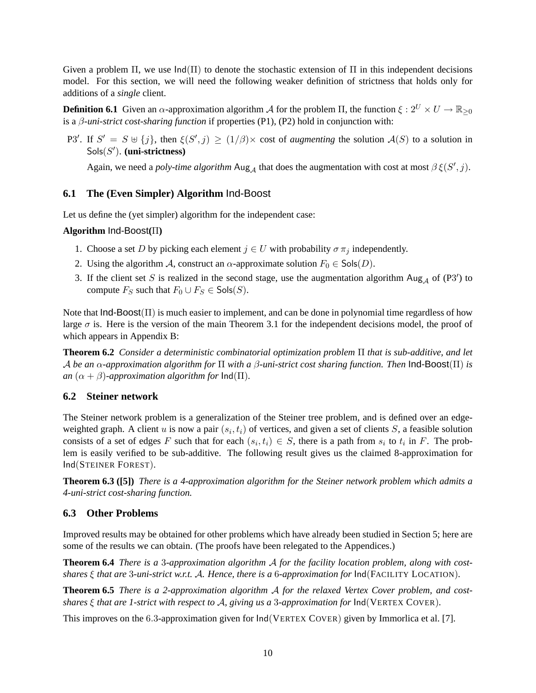Given a problem  $\Pi$ , we use  $Ind(\Pi)$  to denote the stochastic extension of  $\Pi$  in this independent decisions model. For this section, we will need the following weaker definition of strictness that holds only for additions of a *single* client.

**Definition 6.1** Given an  $\alpha$ -approximation algorithm A for the problem  $\Pi$ , the function  $\xi : 2^U \times U \to \mathbb{R}_{\geq 0}$ is a β*-uni-strict cost-sharing function* if properties (P1), (P2) hold in conjunction with:

P3'. If  $S' = S \oplus \{j\}$ , then  $\xi(S', j) \ge (1/\beta) \times \text{cost of augmenting the solution } A(S)$  to a solution in Sols(S 0 ). **(uni-strictness)**

Again, we need a *poly-time algorithm* Aug<sub>A</sub> that does the augmentation with cost at most  $\beta \xi(S', j)$ .

### **6.1 The (Even Simpler) Algorithm** Ind-Boost

Let us define the (yet simpler) algorithm for the independent case:

### **Algorithm** Ind-Boost**(**Π**)**

- 1. Choose a set D by picking each element  $j \in U$  with probability  $\sigma \pi_j$  independently.
- 2. Using the algorithm A, construct an  $\alpha$ -approximate solution  $F_0 \in \text{Sols}(D)$ .
- 3. If the client set S is realized in the second stage, use the augmentation algorithm  $\text{Aug}_{\mathcal{A}}$  of (P3') to compute  $F_S$  such that  $F_0 \cup F_S \in \mathsf{Sols}(S)$ .

Note that Ind-Boost(Π) is much easier to implement, and can be done in polynomial time regardless of how large  $\sigma$  is. Here is the version of the main Theorem 3.1 for the independent decisions model, the proof of which appears in Appendix B:

**Theorem 6.2** *Consider a deterministic combinatorial optimization problem* Π *that is sub-additive, and let* A *be an* α*-approximation algorithm for* Π *with a* β*-uni-strict cost sharing function. Then* Ind-Boost(Π) *is an*  $(\alpha + \beta)$ *-approximation algorithm for*  $\text{Ind}(\Pi)$ *.* 

### **6.2 Steiner network**

The Steiner network problem is a generalization of the Steiner tree problem, and is defined over an edgeweighted graph. A client u is now a pair  $(s_i, t_i)$  of vertices, and given a set of clients S, a feasible solution consists of a set of edges F such that for each  $(s_i, t_i) \in S$ , there is a path from  $s_i$  to  $t_i$  in F. The problem is easily verified to be sub-additive. The following result gives us the claimed 8-approximation for Ind(STEINER FOREST).

**Theorem 6.3 ([5])** *There is a 4-approximation algorithm for the Steiner network problem which admits a 4-uni-strict cost-sharing function.*

### **6.3 Other Problems**

Improved results may be obtained for other problems which have already been studied in Section 5; here are some of the results we can obtain. (The proofs have been relegated to the Appendices.)

**Theorem 6.4** *There is a* 3*-approximation algorithm* A *for the facility location problem, along with costshares* ξ *that are* 3*-uni-strict w.r.t.* A*. Hence, there is a* 6*-approximation for* Ind(FACILITY LOCATION)*.*

**Theorem 6.5** *There is a 2-approximation algorithm* A *for the relaxed Vertex Cover problem, and costshares* ξ *that are 1-strict with respect to* A*, giving us a* 3*-approximation for* Ind(VERTEX COVER)*.*

This improves on the 6.3-approximation given for Ind(VERTEX COVER) given by Immorlica et al. [7].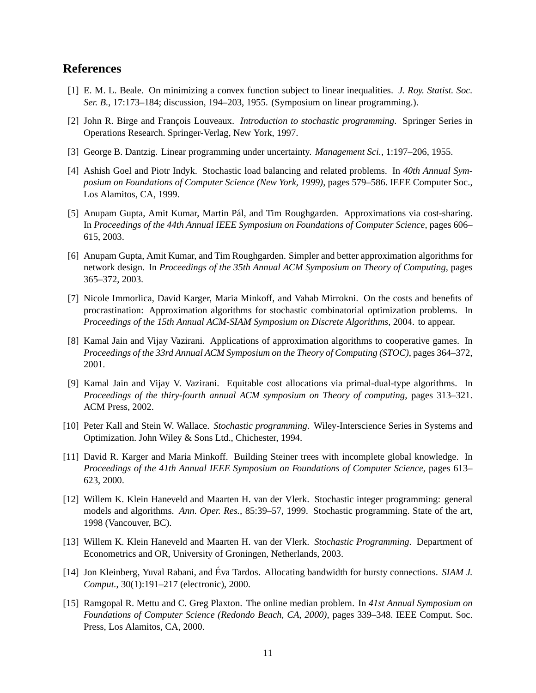# **References**

- [1] E. M. L. Beale. On minimizing a convex function subject to linear inequalities. *J. Roy. Statist. Soc. Ser. B.*, 17:173–184; discussion, 194–203, 1955. (Symposium on linear programming.).
- [2] John R. Birge and Francois Louveaux. *Introduction to stochastic programming*. Springer Series in Operations Research. Springer-Verlag, New York, 1997.
- [3] George B. Dantzig. Linear programming under uncertainty. *Management Sci.*, 1:197–206, 1955.
- [4] Ashish Goel and Piotr Indyk. Stochastic load balancing and related problems. In *40th Annual Symposium on Foundations of Computer Science (New York, 1999)*, pages 579–586. IEEE Computer Soc., Los Alamitos, CA, 1999.
- [5] Anupam Gupta, Amit Kumar, Martin Pál, and Tim Roughgarden. Approximations via cost-sharing. In *Proceedings of the 44th Annual IEEE Symposium on Foundations of Computer Science*, pages 606– 615, 2003.
- [6] Anupam Gupta, Amit Kumar, and Tim Roughgarden. Simpler and better approximation algorithms for network design. In *Proceedings of the 35th Annual ACM Symposium on Theory of Computing*, pages 365–372, 2003.
- [7] Nicole Immorlica, David Karger, Maria Minkoff, and Vahab Mirrokni. On the costs and benefits of procrastination: Approximation algorithms for stochastic combinatorial optimization problems. In *Proceedings of the 15th Annual ACM-SIAM Symposium on Discrete Algorithms*, 2004. to appear.
- [8] Kamal Jain and Vijay Vazirani. Applications of approximation algorithms to cooperative games. In *Proceedings of the 33rd Annual ACM Symposium on the Theory of Computing (STOC)*, pages 364–372, 2001.
- [9] Kamal Jain and Vijay V. Vazirani. Equitable cost allocations via primal-dual-type algorithms. In *Proceedings of the thiry-fourth annual ACM symposium on Theory of computing*, pages 313–321. ACM Press, 2002.
- [10] Peter Kall and Stein W. Wallace. *Stochastic programming*. Wiley-Interscience Series in Systems and Optimization. John Wiley & Sons Ltd., Chichester, 1994.
- [11] David R. Karger and Maria Minkoff. Building Steiner trees with incomplete global knowledge. In *Proceedings of the 41th Annual IEEE Symposium on Foundations of Computer Science*, pages 613– 623, 2000.
- [12] Willem K. Klein Haneveld and Maarten H. van der Vlerk. Stochastic integer programming: general models and algorithms. *Ann. Oper. Res.*, 85:39–57, 1999. Stochastic programming. State of the art, 1998 (Vancouver, BC).
- [13] Willem K. Klein Haneveld and Maarten H. van der Vlerk. *Stochastic Programming*. Department of Econometrics and OR, University of Groningen, Netherlands, 2003.
- [14] Jon Kleinberg, Yuval Rabani, and Éva Tardos. Allocating bandwidth for bursty connections. SIAM J. *Comput.*, 30(1):191–217 (electronic), 2000.
- [15] Ramgopal R. Mettu and C. Greg Plaxton. The online median problem. In *41st Annual Symposium on Foundations of Computer Science (Redondo Beach, CA, 2000)*, pages 339–348. IEEE Comput. Soc. Press, Los Alamitos, CA, 2000.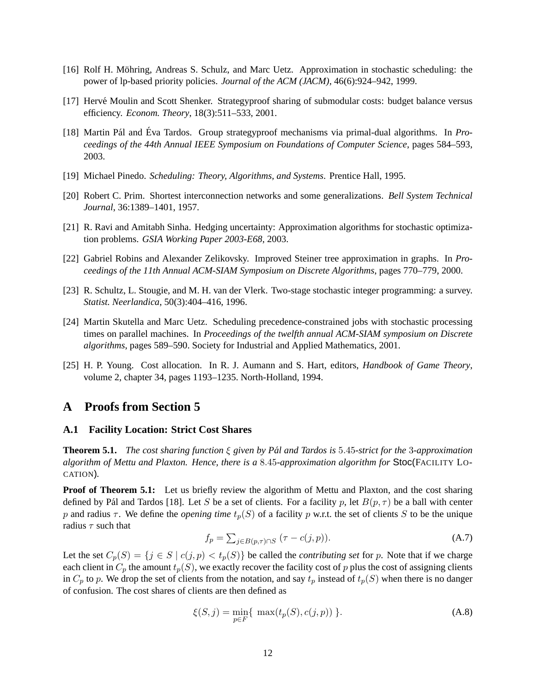- [16] Rolf H. Möhring, Andreas S. Schulz, and Marc Uetz. Approximation in stochastic scheduling: the power of lp-based priority policies. *Journal of the ACM (JACM)*, 46(6):924–942, 1999.
- [17] Herve Moulin and Scott Shenker. Strategyproof sharing of submodular costs: budget balance versus ´ efficiency. *Econom. Theory*, 18(3):511–533, 2001.
- [18] Martin Pál and Éva Tardos. Group strategyproof mechanisms via primal-dual algorithms. In Pro*ceedings of the 44th Annual IEEE Symposium on Foundations of Computer Science*, pages 584–593, 2003.
- [19] Michael Pinedo. *Scheduling: Theory, Algorithms, and Systems*. Prentice Hall, 1995.
- [20] Robert C. Prim. Shortest interconnection networks and some generalizations. *Bell System Technical Journal*, 36:1389–1401, 1957.
- [21] R. Ravi and Amitabh Sinha. Hedging uncertainty: Approximation algorithms for stochastic optimization problems. *GSIA Working Paper 2003-E68*, 2003.
- [22] Gabriel Robins and Alexander Zelikovsky. Improved Steiner tree approximation in graphs. In *Proceedings of the 11th Annual ACM-SIAM Symposium on Discrete Algorithms*, pages 770–779, 2000.
- [23] R. Schultz, L. Stougie, and M. H. van der Vlerk. Two-stage stochastic integer programming: a survey. *Statist. Neerlandica*, 50(3):404–416, 1996.
- [24] Martin Skutella and Marc Uetz. Scheduling precedence-constrained jobs with stochastic processing times on parallel machines. In *Proceedings of the twelfth annual ACM-SIAM symposium on Discrete algorithms*, pages 589–590. Society for Industrial and Applied Mathematics, 2001.
- [25] H. P. Young. Cost allocation. In R. J. Aumann and S. Hart, editors, *Handbook of Game Theory*, volume 2, chapter 34, pages 1193–1235. North-Holland, 1994.

### **A Proofs from Section 5**

#### **A.1 Facility Location: Strict Cost Shares**

**Theorem 5.1.** *The cost sharing function* ξ *given by Pal and Tardos is ´* 5.45*-strict for the* 3*-approximation algorithm of Mettu and Plaxton. Hence, there is a* 8.45*-approximation algorithm for* Stoc(FACILITY LO-CATION)*.*

**Proof of Theorem 5.1:** Let us briefly review the algorithm of Mettu and Plaxton, and the cost sharing defined by Pál and Tardos [18]. Let S be a set of clients. For a facility p, let  $B(p, \tau)$  be a ball with center p and radius  $\tau$ . We define the *opening time*  $t_p(S)$  of a facility p w.r.t. the set of clients S to be the unique radius  $\tau$  such that

$$
f_p = \sum_{j \in B(p,\tau) \cap S} (\tau - c(j,p)). \tag{A.7}
$$

Let the set  $C_p(S) = \{j \in S \mid c(j, p) < t_p(S)\}$  be called the *contributing set* for p. Note that if we charge each client in  $C_p$  the amount  $t_p(S)$ , we exactly recover the facility cost of p plus the cost of assigning clients in  $C_p$  to p. We drop the set of clients from the notation, and say  $t_p$  instead of  $t_p(S)$  when there is no danger of confusion. The cost shares of clients are then defined as

$$
\xi(S, j) = \min_{p \in F} \{ \max(t_p(S), c(j, p)) \}.
$$
\n(A.8)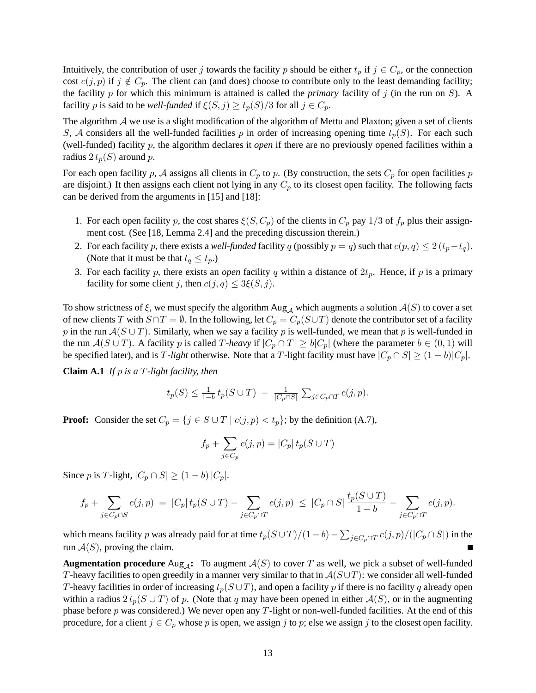Intuitively, the contribution of user j towards the facility p should be either  $t_p$  if  $j \in C_p$ , or the connection cost  $c(j, p)$  if  $j \notin C_p$ . The client can (and does) choose to contribute only to the least demanding facility; the facility  $p$  for which this minimum is attained is called the *primary* facility of  $j$  (in the run on  $S$ ). A facility p is said to be *well-funded* if  $\xi(S, j) \ge t_p(S)/3$  for all  $j \in C_p$ .

The algorithm  $A$  we use is a slight modification of the algorithm of Mettu and Plaxton; given a set of clients S, A considers all the well-funded facilities p in order of increasing opening time  $t_p(S)$ . For each such (well-funded) facility p, the algorithm declares it *open* if there are no previously opened facilities within a radius  $2 t_p(S)$  around p.

For each open facility p, A assigns all clients in  $C_p$  to p. (By construction, the sets  $C_p$  for open facilities p are disjoint.) It then assigns each client not lying in any  $C_p$  to its closest open facility. The following facts can be derived from the arguments in [15] and [18]:

- 1. For each open facility p, the cost shares  $\xi(S, C_p)$  of the clients in  $C_p$  pay 1/3 of  $f_p$  plus their assignment cost. (See [18, Lemma 2.4] and the preceding discussion therein.)
- 2. For each facility p, there exists a *well-funded* facility q (possibly  $p = q$ ) such that  $c(p, q) \leq 2(t_p t_q)$ . (Note that it must be that  $t_q \leq t_p$ .)
- 3. For each facility p, there exists an *open* facility q within a distance of  $2t_p$ . Hence, if p is a primary facility for some client j, then  $c(j, q) \leq 3\xi(S, j)$ .

To show strictness of  $\xi$ , we must specify the algorithm Aug<sub>A</sub> which augments a solution  $\mathcal{A}(S)$  to cover a set of new clients T with  $S \cap T = \emptyset$ . In the following, let  $C_p = C_p(S \cup T)$  denote the contributor set of a facility p in the run  $A(S \cup T)$ . Similarly, when we say a facility p is well-funded, we mean that p is well-funded in the run  $A(S \cup T)$ . A facility p is called T-heavy if  $|C_p \cap T| \ge b|C_p|$  (where the parameter  $b \in (0,1)$  will be specified later), and is T-light otherwise. Note that a T-light facility must have  $|C_p \cap S| \ge (1 - b)|C_p|$ .

**Claim A.1** *If* p *is a* T*-light facility, then*

$$
t_p(S) \leq \frac{1}{1-b} t_p(S \cup T) - \frac{1}{|C_p \cap S|} \sum_{j \in C_p \cap T} c(j, p).
$$

**Proof:** Consider the set  $C_p = \{j \in S \cup T \mid c(j, p) < t_p\}$ ; by the definition (A.7),

$$
f_p + \sum_{j \in C_p} c(j, p) = |C_p| t_p(S \cup T)
$$

Since *p* is *T*-light,  $|C_p \cap S| \ge (1 - b)|C_p|$ .

$$
f_p + \sum_{j \in C_p \cap S} c(j, p) = |C_p| t_p(S \cup T) - \sum_{j \in C_p \cap T} c(j, p) \leq |C_p \cap S| \frac{t_p(S \cup T)}{1 - b} - \sum_{j \in C_p \cap T} c(j, p).
$$

which means facility p was already paid for at time  $t_p(S\cup T)/(1-b) - \sum_{j\in C_p\cap T}c(j,p)/(|C_p\cap S|)$  in the run  $A(S)$ , proving the claim.

**Augmentation procedure** Aug<sub>A</sub>: To augment  $A(S)$  to cover T as well, we pick a subset of well-funded T-heavy facilities to open greedily in a manner very similar to that in  $\mathcal{A}(S\cup T)$ : we consider all well-funded T-heavy facilities in order of increasing  $t_p(S \cup T)$ , and open a facility p if there is no facility q already open within a radius  $2 t_p(S \cup T)$  of p. (Note that q may have been opened in either  $\mathcal{A}(S)$ , or in the augmenting phase before  $p$  was considered.) We never open any  $T$ -light or non-well-funded facilities. At the end of this procedure, for a client  $j \in C_p$  whose p is open, we assign j to p; else we assign j to the closest open facility.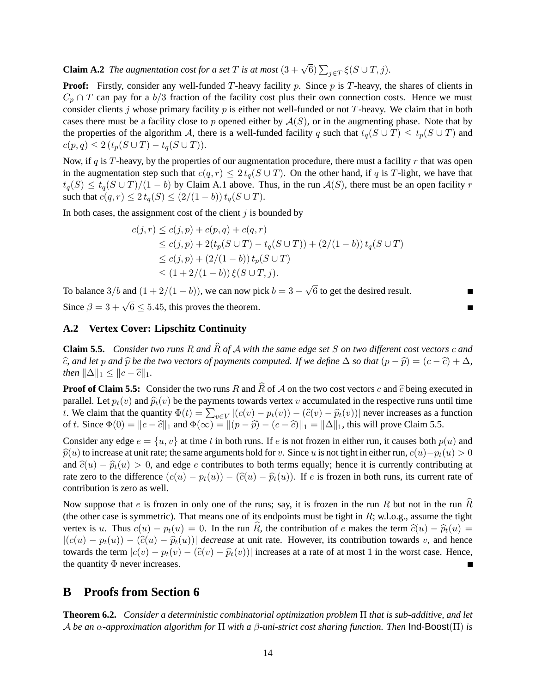**Claim A.2** *The augmentation cost for a set*  $T$  *is at most*  $(3 + \sqrt{6}) \sum_{j \in T} \xi(S \cup T, j)$ *.* 

**Proof:** Firstly, consider any well-funded T-heavy facility p. Since p is T-heavy, the shares of clients in  $C_p \cap T$  can pay for a b/3 fraction of the facility cost plus their own connection costs. Hence we must consider clients j whose primary facility  $p$  is either not well-funded or not T-heavy. We claim that in both cases there must be a facility close to p opened either by  $A(S)$ , or in the augmenting phase. Note that by the properties of the algorithm A, there is a well-funded facility q such that  $t_q(S \cup T) \le t_p(S \cup T)$  and  $c(p, q) \leq 2 (t_p(S \cup T) - t_q(S \cup T)).$ 

Now, if q is T-heavy, by the properties of our augmentation procedure, there must a facility  $r$  that was open in the augmentation step such that  $c(q, r) \leq 2 t_q(S \cup T)$ . On the other hand, if q is T-light, we have that  $t_q(S) \leq t_q(S \cup T)/(1 - b)$  by Claim A.1 above. Thus, in the run  $\mathcal{A}(S)$ , there must be an open facility r such that  $c(q, r) \le 2 t_q(S) \le (2/(1 - b)) t_q(S \cup T)$ .

In both cases, the assignment cost of the client  $i$  is bounded by

$$
c(j,r) \le c(j,p) + c(p,q) + c(q,r)
$$
  
\n
$$
\le c(j,p) + 2(t_p(S \cup T) - t_q(S \cup T)) + (2/(1-b)) t_q(S \cup T)
$$
  
\n
$$
\le c(j,p) + (2/(1-b)) t_p(S \cup T)
$$
  
\n
$$
\le (1+2/(1-b)) \xi(S \cup T, j).
$$

To balance  $3/b$  and  $(1+2/(1-b))$ , we can now pick  $b=3-1$ √ 6 to get the desired result. Since  $\beta = 3 + \sqrt{6} \le 5.45$ , this proves the theorem.

### **A.2 Vertex Cover: Lipschitz Continuity**

**Claim 5.5.** *Consider two runs* <sup>R</sup> *and* <sup>R</sup><sup>b</sup> *of* <sup>A</sup> *with the same edge set* <sup>S</sup> *on two different cost vectors* <sup>c</sup> *and*  $\hat{c}$ , and let p and  $\hat{p}$  be the two vectors of payments computed. If we define  $\Delta$  so that  $(p - \hat{p}) = (c - \hat{c}) + \Delta$ , *then*  $\|\Delta\|_1 \leq \|c - \hat{c}\|_1$ .

**Proof of Claim 5.5:** Consider the two runs R and  $\hat{R}$  of A on the two cost vectors c and  $\hat{c}$  being executed in parallel. Let  $p_t(v)$  and  $\hat{p}_t(v)$  be the payments towards vertex v accumulated in the respective runs until time t. We claim that the quantity  $\Phi(t) = \sum_{v \in V} |(c(v) - p_t(v)) - (\hat{c}(v) - \hat{p}_t(v))|$  never increases as a function<br>of t. Since  $\Phi(0) = ||e_0||^2$  and  $\Phi(\infty) = ||(p_0 - \hat{p}_t(v)) - (\hat{c}(v) - \hat{p}_t(v))||$  this will never Claim 5.5 of t. Since  $\Phi(0) = ||c - \hat{c}||_1$  and  $\Phi(\infty) = ||(p - \hat{p}) - (c - \hat{c})||_1 = ||\Delta||_1$ , this will prove Claim 5.5.

Consider any edge  $e = \{u, v\}$  at time t in both runs. If e is not frozen in either run, it causes both  $p(u)$  and  $\hat{p}(u)$  to increase at unit rate; the same arguments hold for v. Since u is not tight in either run,  $c(u)-p_t(u) > 0$ and  $\hat{c}(u) - \hat{p}_t(u) > 0$ , and edge e contributes to both terms equally; hence it is currently contributing at rate zero to the difference  $(c(u) - p_t(u)) - (\hat{c}(u) - \hat{p}_t(u))$ . If e is frozen in both runs, its current rate of contribution is zero as well.

Now suppose that e is frozen in only one of the runs; say, it is frozen in the run R but not in the run  $\hat{R}$ (the other case is symmetric). That means one of its endpoints must be tight in  $R$ ; w.l.o.g., assume the tight vertex is u. Thus  $c(u) - p_t(u) = 0$ . In the run R, the contribution of e makes the term  $\hat{c}(u) - \hat{p}_t(u) = 0$  $|(c(u) - p_t(u)) - (\hat{c}(u) - \hat{p}_t(u))|$  *decrease* at unit rate. However, its contribution towards v, and hence towards the term  $|c(v) - p_t(v) - (\hat{c}(v) - \hat{p}_t(v))|$  increases at a rate of at most 1 in the worst case. Hence, the quantity  $\Phi$  never increases. the quantity  $\Phi$  never increases.

## **B Proofs from Section 6**

**Theorem 6.2.** *Consider a deterministic combinatorial optimization problem* Π *that is sub-additive, and let* A *be an* α*-approximation algorithm for* Π *with a* β*-uni-strict cost sharing function. Then* Ind-Boost(Π) *is*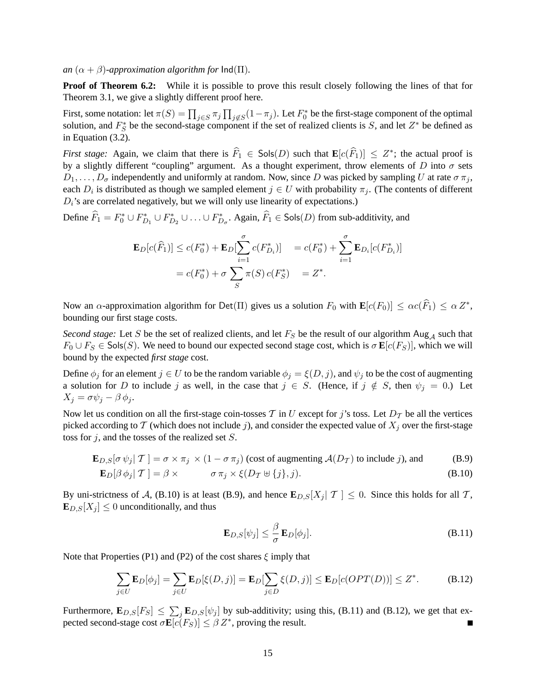*an*  $(\alpha + \beta)$ *-approximation algorithm for*  $\text{Ind}(\Pi)$ *.* 

**Proof of Theorem 6.2:** While it is possible to prove this result closely following the lines of that for Theorem 3.1, we give a slightly different proof here.

First, some notation: let  $\pi(S) = \prod_{j \in S} \pi_j \prod_{j \notin S} (1 - \pi_j)$ . Let  $F_0^*$  be the first-stage component of the optimal solution, and  $F_S^*$  be the second-stage component if the set of realized clients is S, and let  $Z^*$  be defined as in Equation (3.2).

*First stage:* Again, we claim that there is  $\widehat{F}_1 \in \mathsf{Sols}(D)$  such that  $\mathbf{E}[c(\widehat{F}_1)] \leq Z^*$ ; the actual proof is by a slightly different "coupling" argument. As a thought experiment, throw elements of D into  $\sigma$  sets  $D_1, \ldots, D_{\sigma}$  independently and uniformly at random. Now, since D was picked by sampling U at rate  $\sigma \pi_j$ , each  $D_i$  is distributed as though we sampled element  $j \in U$  with probability  $\pi_j$ . (The contents of different  $D_i$ 's are correlated negatively, but we will only use linearity of expectations.)

Define  $\widehat{F}_1 = F_0^* \cup F_{D_1}^* \cup F_{D_2}^* \cup \ldots \cup F_{D_\sigma}^*$ . Again,  $\widehat{F}_1 \in \mathsf{Sols}(D)$  from sub-additivity, and

$$
\mathbf{E}_D[c(\widehat{F}_1)] \le c(F_0^*) + \mathbf{E}_D[\sum_{i=1}^{\sigma} c(F_{D_i}^*)] = c(F_0^*) + \sum_{i=1}^{\sigma} \mathbf{E}_{D_i}[c(F_{D_i}^*)]
$$
  
=  $c(F_0^*) + \sigma \sum_S \pi(S) c(F_S^*) = Z^*.$ 

Now an  $\alpha$ -approximation algorithm for Det(II) gives us a solution  $F_0$  with  $\mathbf{E}[c(F_0)] \leq \alpha c(\widehat{F}_1) \leq \alpha Z^*$ , bounding our first stage costs.

*Second stage:* Let S be the set of realized clients, and let  $F<sub>S</sub>$  be the result of our algorithm Aug<sub>A</sub> such that  $F_0 \cup F_S \in \mathsf{Sols}(S)$ . We need to bound our expected second stage cost, which is  $\sigma \mathbf{E}[c(F_S)]$ , which we will bound by the expected *first stage* cost.

Define  $\phi_j$  for an element  $j \in U$  to be the random variable  $\phi_j = \xi(D, j)$ , and  $\psi_j$  to be the cost of augmenting a solution for D to include j as well, in the case that  $j \in S$ . (Hence, if  $j \notin S$ , then  $\psi_j = 0$ .) Let  $X_i = \sigma \psi_i - \beta \phi_i.$ 

Now let us condition on all the first-stage coin-tosses T in U except for j's toss. Let  $D_T$  be all the vertices picked according to T (which does not include j), and consider the expected value of  $X_i$  over the first-stage toss for  $j$ , and the tosses of the realized set  $S$ .

$$
\mathbf{E}_{D,S}[\sigma \,\psi_j | \,\mathcal{T}] = \sigma \times \pi_j \times (1 - \sigma \,\pi_j) \text{ (cost of augmenting } \mathcal{A}(D_{\mathcal{T}}) \text{ to include } j\text{), and}
$$
(B.9)

$$
\mathbf{E}_D[\beta \phi_j | \mathcal{T}] = \beta \times \qquad \sigma \pi_j \times \xi(D_{\mathcal{T}} \oplus \{j\}, j). \tag{B.10}
$$

By uni-strictness of A, (B.10) is at least (B.9), and hence  $\mathbf{E}_{D,S}[X_j | \mathcal{T}] \leq 0$ . Since this holds for all T,  $\mathbf{E}_{D,S}[X_j] \leq 0$  unconditionally, and thus

$$
\mathbf{E}_{D,S}[\psi_j] \le \frac{\beta}{\sigma} \mathbf{E}_D[\phi_j].
$$
\n(B.11)

Note that Properties (P1) and (P2) of the cost shares  $\xi$  imply that

$$
\sum_{j\in U} \mathbf{E}_D[\phi_j] = \sum_{j\in U} \mathbf{E}_D[\xi(D,j)] = \mathbf{E}_D[\sum_{j\in D} \xi(D,j)] \le \mathbf{E}_D[c(OPT(D))] \le Z^*.
$$
 (B.12)

Furthermore,  $\mathbf{E}_{D,S}[F_S] \leq \sum_j \mathbf{E}_{D,S}[\psi_j]$  by sub-additivity; using this, (B.11) and (B.12), we get that expected second-stage cost  $\sigma \mathbf{E}[c(F_S)] \leq \beta Z^*$ , proving the result.